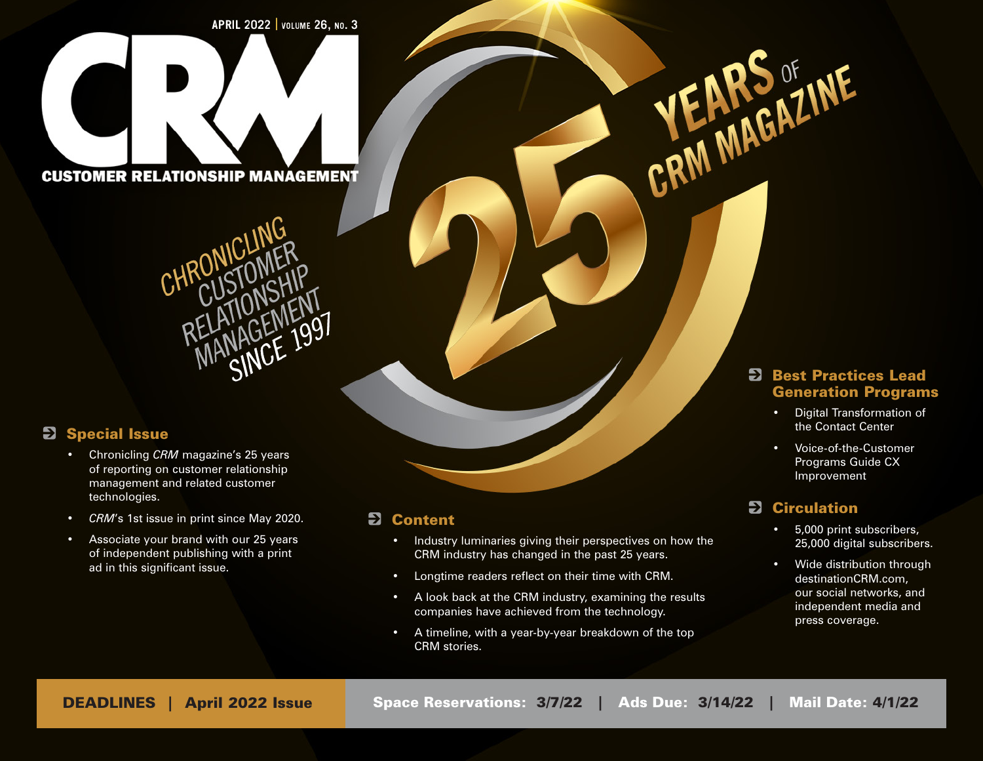APRIL 2022 | VOLUME 26, NO. 3

**CUSTOMER RELATIONSHIP MANAGEMENT** 



# **2** Special Issue

- Chronicling *CRM* magazine's 25 years of reporting on customer relationship management and related customer technologies.
- *• CRM*'s 1st issue in print since May 2020.
- Associate your brand with our 25 years of independent publishing with a print ad in this significant issue.

### **2** Content

- Industry luminaries giving their perspectives on how the CRM industry has changed in the past 25 years.
- Longtime readers reflect on their time with CRM.
- A look back at the CRM industry, examining the results companies have achieved from the technology.
- A timeline, with a year-by-year breakdown of the top CRM stories.

#### **E** Best Practices Lead Generation Programs

- Digital Transformation of the Contact Center
- Voice-of-the-Customer Programs Guide CX Improvement

# **2** Circulation

CRM MAGAZINE

- 5,000 print subscribers, 25,000 digital subscribers.
- Wide distribution through destinationCRM.com, our social networks, and independent media and press coverage.

DEADLINES | April 2022 Issue | Space Reservations: 3/7/22 | Ads Due: 3/14/22 | Mail Date: 4/1/22